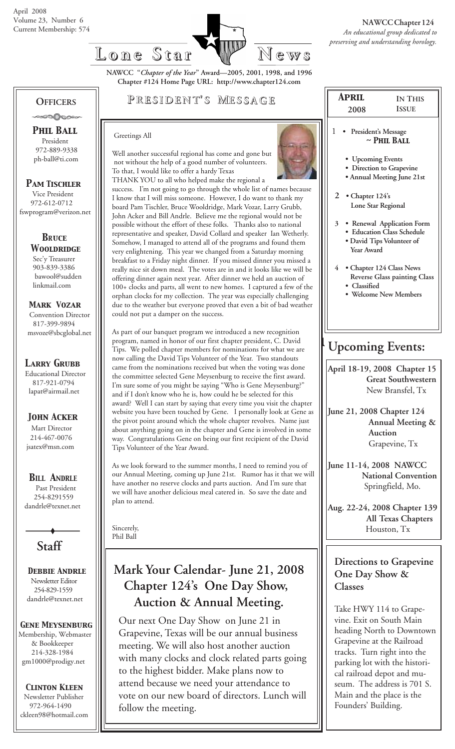

**NAWCC "***Chapter of the Year***" Award—2005, 2001, 1998, and 1996 Chapter #124 Home Page URL: http://www.chapter124.com**

#### **OFFICERS** -∞∞∆∧∞∞

 *Phil Ball* President 972-889-9338

 ph-ball@ti.com *Pam Tischler*

 Vice President 972-612-0712 fswprogram@verizon.net

> *BRuce Wooldridge* Sec'y Treasurer 903-839-3386 bawool@sudden linkmail.com

 *Mark Vozar* Convention Director 817-399-9894 msvoze@sbcglobal.net

*Larry Grubb*

Educational Director 817-921-0794 lapat@airmail.net

#### *John Acker*

Mart Director 214-467-0076 jsatex@msn.com

*BILL ANDRLE*

 Past President 254-8291559 dandrle@texnet.net

**Staff**

 *Debbie Andrle* Newsletter Editor 254-829-1559 dandrle@texnet.net

### *Gene Meysenburg*

Membership, Webmaster & Bookkeeper 214-328-1984 gm1000@prodigy.net

#### *Clinton Kleen*

 Newsletter Publisher 972-964-1490 ckleen98@hotmail.com

### **P RESIDENT RESIDENT' S M ESSAGE**

#### Greetings All

Well another successful regional has come and gone but not without the help of a good number of volunteers. To that, I would like to offer a hardy Texas



THANK YOU to all who helped make the regional a success. I'm not going to go through the whole list of names because I know that I will miss someone. However, I do want to thank my board Pam Tischler, Bruce Wooldridge, Mark Vozar, Larry Grubb, John Acker and Bill Andrle. Believe me the regional would not be possible without the effort of these folks. Thanks also to national representative and speaker, David Collard and speaker Ian Wetherly. Somehow, I managed to attend all of the programs and found them very enlightening. This year we changed from a Saturday morning breakfast to a Friday night dinner. If you missed dinner you missed a really nice sit down meal. The votes are in and it looks like we will be offering dinner again next year. After dinner we held an auction of 100+ clocks and parts, all went to new homes. I captured a few of the orphan clocks for my collection. The year was especially challenging due to the weather but everyone proved that even a bit of bad weather could not put a damper on the success.

As part of our banquet program we introduced a new recognition program, named in honor of our first chapter president, C. David Tips. We polled chapter members for nominations for what we are now calling the David Tips Volunteer of the Year. Two standouts came from the nominations received but when the voting was done the committee selected Gene Meysenburg to receive the first award. I'm sure some of you might be saying "Who is Gene Meysenburg?" and if I don't know who he is, how could he be selected for this award? Well I can start by saying that every time you visit the chapter website you have been touched by Gene. I personally look at Gene as the pivot point around which the whole chapter revolves. Name just about anything going on in the chapter and Gene is involved in some way. Congratulations Gene on being our first recipient of the David Tips Volunteer of the Year Award.

As we look forward to the summer months, I need to remind you of our Annual Meeting, coming up June 21st. Rumor has it that we will have another no reserve clocks and parts auction. And I'm sure that we will have another delicious meal catered in. So save the date and plan to attend.

Sincerely, Phil Ball

## **Mark Your Calendar- June 21, 2008 Chapter 124's One Day Show, Auction & Annual Meeting.**

Our next One Day Show on June 21 in Grapevine, Texas will be our annual business meeting. We will also host another auction with many clocks and clock related parts going to the highest bidder. Make plans now to attend because we need your attendance to vote on our new board of directors. Lunch will follow the meeting.

| <b>ISSUE</b><br>President's Message<br>$\sim$ PHIL BALL<br>• Upcoming Events<br>• Direction to Grapevine<br>• Annual Meeting June 21st<br>Lone Star Regional |
|--------------------------------------------------------------------------------------------------------------------------------------------------------------|
|                                                                                                                                                              |
|                                                                                                                                                              |
|                                                                                                                                                              |
|                                                                                                                                                              |
|                                                                                                                                                              |
|                                                                                                                                                              |
| • Renewal Application Form<br><b>Education Class Schedule</b><br>· David Tips Volunteer of                                                                   |
| • Chapter 124 Class News<br><b>Reverse Glass painting Class</b><br><b>Welcome New Members</b>                                                                |
|                                                                                                                                                              |

## **Upcoming Events:**

**April 18-19, 2008 Chapter 15 Great Southwestern** New Bransfel, Tx

**June 21, 2008 Chapter 124 Annual Meeting & Auction** Grapevine, Tx

**June 11-14, 2008 NAWCC National Convention** Springfield, Mo.

**Aug. 22-24, 2008 Chapter 139 All Texas Chapters** Houston, Tx

#### **Directions to Grapevine One Day Show & Classes**

Take HWY 114 to Grapevine. Exit on South Main heading North to Downtown Grapevine at the Railroad tracks. Turn right into the parking lot with the historical railroad depot and museum. The address is 701 S. Main and the place is the Founders' Building.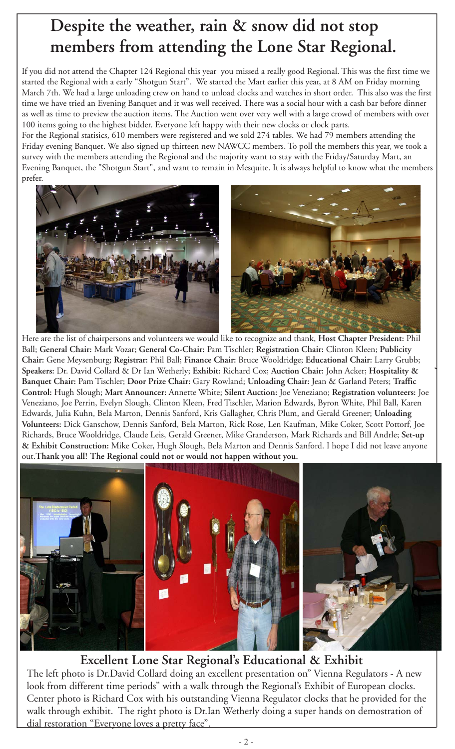# **Despite the weather, rain & snow did not stop members from attending the Lone Star Regional.**

If you did not attend the Chapter 124 Regional this year you missed a really good Regional. This was the first time we started the Regional with a early "Shotgun Start". We started the Mart earlier this year, at 8 AM on Friday morning March 7th. We had a large unloading crew on hand to unload clocks and watches in short order. This also was the first time we have tried an Evening Banquet and it was well received. There was a social hour with a cash bar before dinner as well as time to preview the auction items. The Auction went over very well with a large crowd of members with over 100 items going to the highest bidder. Everyone left happy with their new clocks or clock parts.

For the Regional statisics, 610 members were registered and we sold 274 tables. We had 79 members attending the Friday evening Banquet. We also signed up thirteen new NAWCC members. To poll the members this year, we took a survey with the members attending the Regional and the majority want to stay with the Friday/Saturday Mart, an Evening Banquet, the "Shotgun Start", and want to remain in Mesquite. It is always helpful to know what the members prefer.



Here are the list of chairpersons and volunteers we would like to recognize and thank, **Host Chapter President:** Phil Ball; **General Chair:** Mark Vozar; **General Co-Chair:** Pam Tischler; **Registration Chair:** Clinton Kleen; **Publicity Chair:** Gene Meysenburg; **Registrar:** Phil Ball; **Finance Chair:** Bruce Wooldridge; **Educational Chair:** Larry Grubb; **Speakers:** Dr. David Collard & Dr Ian Wetherly; **Exhibit:** Richard Cox; **Auction Chair:** John Acker; **Hospitality & Banquet Chair:** Pam Tischler; **Door Prize Chair:** Gary Rowland; **Unloading Chair:** Jean & Garland Peters; **Traffic Control:** Hugh Slough; **Mart Announcer:** Annette White; **Silent Auction:** Joe Veneziano; **Registration volunteers:** Joe Veneziano, Joe Perrin, Evelyn Slough, Clinton Kleen, Fred Tischler, Marion Edwards, Byron White, Phil Ball, Karen Edwards, Julia Kuhn, Bela Marton, Dennis Sanford, Kris Gallagher, Chris Plum, and Gerald Greener; **Unloading Volunteers:** Dick Ganschow, Dennis Sanford, Bela Marton, Rick Rose, Len Kaufman, Mike Coker, Scott Pottorf, Joe Richards, Bruce Wooldridge, Claude Leis, Gerald Greener, Mike Granderson, Mark Richards and Bill Andrle; **Set-up & Exhibit Construction:** Mike Coker, Hugh Slough, Bela Marton and Dennis Sanford. I hope I did not leave anyone out.**Thank you all! The Regional could not or would not happen without you.**



### **Excellent Lone Star Regional's Educational & Exhibit**

The left photo is Dr.David Collard doing an excellent presentation on" Vienna Regulators - A new look from different time periods" with a walk through the Regional's Exhibit of European clocks. Center photo is Richard Cox with his outstanding Vienna Regulator clocks that he provided for the walk through exhibit. The right photo is Dr.Ian Wetherly doing a super hands on demostration of dial restoration "Everyone loves a pretty face".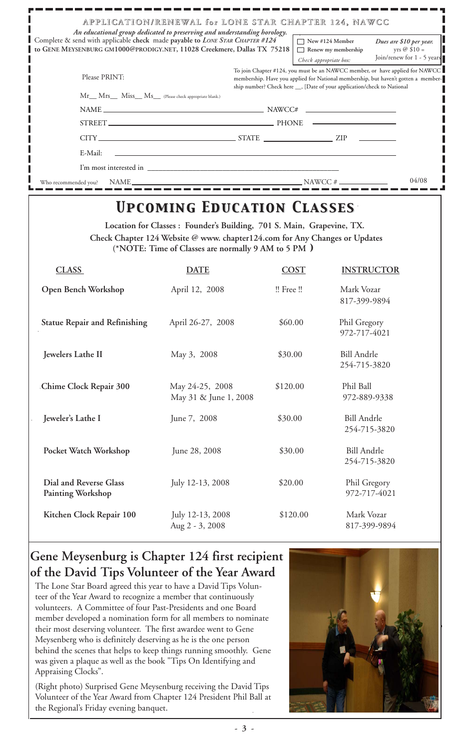| APPLICATION/RENEWAL for LONE STAR CHAPTER 124, NAWCC<br>An educational group dedicated to preserving and understanding horology.                        |                                                                                                                                                               |                                                                               |
|---------------------------------------------------------------------------------------------------------------------------------------------------------|---------------------------------------------------------------------------------------------------------------------------------------------------------------|-------------------------------------------------------------------------------|
| Complete & send with applicable check made payable to LONE STAR CHAPTER #124<br>to GENE MEYSENBURG GM1000@PRODIGY.NET, 11028 Creekmere, Dallas TX 75218 | New #124 Member<br>Renew my membership<br>Check appropriate box:                                                                                              | Dues are \$10 per year.<br>yrs $\oslash$ \$10 =<br>Join/renew for 1 - 5 years |
| Please PRINT:                                                                                                                                           | membership. Have you applied for National membership, but haven't gotten a member-<br>ship number? Check here __, [Date of your application/check to National | To join Chapter #124, you must be an NAWCC member, or have applied for NAWCC  |
| Mr__ Mrs__ Miss__ Ms__ (Please check appropriate blank.)                                                                                                |                                                                                                                                                               |                                                                               |
| $NAME \_\_$                                                                                                                                             |                                                                                                                                                               |                                                                               |
| STREET.                                                                                                                                                 |                                                                                                                                                               |                                                                               |
|                                                                                                                                                         |                                                                                                                                                               |                                                                               |
| E-Mail:                                                                                                                                                 |                                                                                                                                                               |                                                                               |
|                                                                                                                                                         |                                                                                                                                                               |                                                                               |
| NAME NAME<br>Who recommended you?                                                                                                                       | $\frac{1}{2}$ NAWCC #                                                                                                                                         | 04/08                                                                         |

# *Upcoming Education Classes Upcoming Education Classes*

**Location for Classes : Founder's Building, 701 S. Main, Grapevine, TX. Check Chapter 124 Website @ www. chapter124.com for Any Changes or Updates (\*NOTE: Time of Classes are normally 9 AM to 5 PM** *)*

| <b>CLASS</b>                                       | <b>DATE</b>                              | <b>COST</b> | <b>INSTRUCTOR</b>                  |
|----------------------------------------------------|------------------------------------------|-------------|------------------------------------|
| Open Bench Workshop                                | April 12, 2008                           | !! Free !!  | Mark Vozar<br>817-399-9894         |
| <b>Statue Repair and Refinishing</b>               | April 26-27, 2008                        | \$60.00     | Phil Gregory<br>972-717-4021       |
| Jewelers Lathe II                                  | May 3, 2008                              | \$30.00     | <b>Bill Andrle</b><br>254-715-3820 |
| Chime Clock Repair 300                             | May 24-25, 2008<br>May 31 & June 1, 2008 | \$120.00    | Phil Ball<br>972-889-9338          |
| Jeweler's Lathe I                                  | June 7, 2008                             | \$30.00     | <b>Bill Andrle</b><br>254-715-3820 |
| Pocket Watch Workshop                              | June 28, 2008                            | \$30.00     | <b>Bill Andrle</b><br>254-715-3820 |
| Dial and Reverse Glass<br><b>Painting Workshop</b> | July 12-13, 2008                         | \$20.00     | Phil Gregory<br>972-717-4021       |
| Kitchen Clock Repair 100                           | July 12-13, 2008<br>Aug 2 - 3, 2008      | \$120.00    | Mark Vozar<br>817-399-9894         |

## **Gene Meysenburg is Chapter 124 first recipient of the David Tips Volunteer of the Year Award**

The Lone Star Board agreed this year to have a David Tips Volunteer of the Year Award to recognize a member that continuously volunteers. A Committee of four Past-Presidents and one Board member developed a nomination form for all members to nominate their most deserving volunteer. The first awardee went to Gene Meysenberg who is definitely deserving as he is the one person behind the scenes that helps to keep things running smoothly. Gene was given a plaque as well as the book "Tips On Identifying and Appraising Clocks".

(Right photo) Surprised Gene Meysenburg receiving the David Tips Volunteer of the Year Award from Chapter 124 President Phil Ball at the Regional's Friday evening banquet.